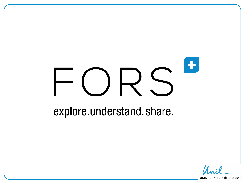# ٠

## explore.understand.share.

**UNIL** | Université de Lausanne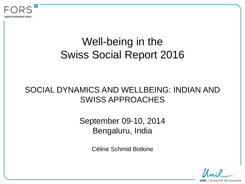

## Well-being in the Swiss Social Report 2016

#### SOCIAL DYNAMICS AND WELLBEING: INDIAN AND SWISS APPROACHES

September 09-10, 2014 Bengaluru, India

Céline Schmid Botkine

**UNIL** | Université de Lausanne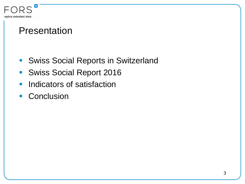

#### Presentation

- **Swiss Social Reports in Switzerland**
- **Swiss Social Report 2016**
- **Indicators of satisfaction**
- **Conclusion**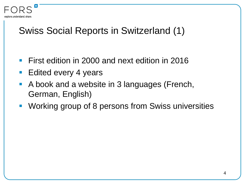

#### Swiss Social Reports in Switzerland (1)

- **First edition in 2000 and next edition in 2016**
- Edited every 4 years
- A book and a website in 3 languages (French, German, English)
- **Working group of 8 persons from Swiss universities**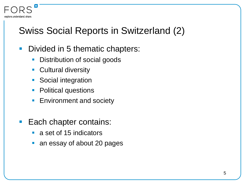# Swiss Social Reports in Switzerland (2)

- Divided in 5 thematic chapters:
	- **Distribution of social goods**
	- **Cultural diversity**

explore understand share.

- **Social integration**
- **Political questions**
- **Environment and society**
- **Each chapter contains:** 
	- **a** set of 15 indicators
	- an essay of about 20 pages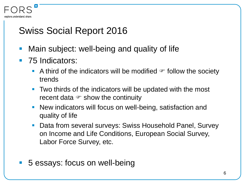

#### Swiss Social Report 2016

- Main subject: well-being and quality of life
- 75 Indicators:
	- A third of the indicators will be modified  $\epsilon$  follow the society trends
	- **Two thirds of the indicators will be updated with the most** recent data  $\mathcal F$  show the continuity
	- **New indicators will focus on well-being, satisfaction and** quality of life
	- Data from several surveys: Swiss Household Panel, Survey on Income and Life Conditions, European Social Survey, Labor Force Survey, etc.
- 5 essays: focus on well-being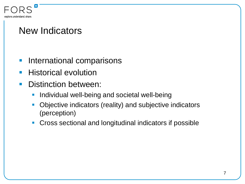

#### New Indicators

- **International comparisons**
- **Historical evolution**
- Distinction between:
	- **Individual well-being and societal well-being**
	- Objective indicators (reality) and subjective indicators (perception)
	- Cross sectional and longitudinal indicators if possible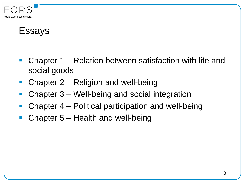

#### Essays

- Chapter 1 Relation between satisfaction with life and social goods
- Chapter 2 Religion and well-being
- Chapter 3 Well-being and social integration
- Chapter 4 Political participation and well-being
- Chapter 5 Health and well-being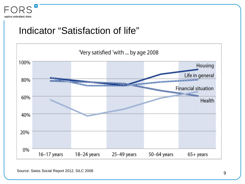

#### Indicator "Satisfaction of life"



Source: Swiss Social Report 2012, SILC 2008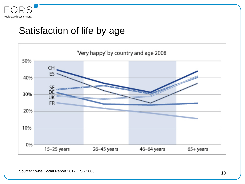

#### Satisfaction of life by age

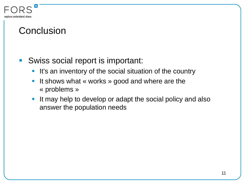

#### **Conclusion**

- Swiss social report is important:
	- **It's an inventory of the social situation of the country**
	- It shows what « works » good and where are the « problems »
	- **If may help to develop or adapt the social policy and also** answer the population needs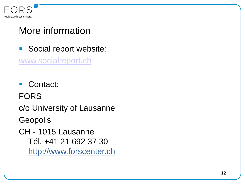

#### More information

Social report website:

[www.socialreport.ch](http://www.socialreport.ch/)

■ Contact: FORS c/o University of Lausanne **Geopolis** CH - 1015 Lausanne Tél. +41 21 692 37 30 http://www.forscenter.ch